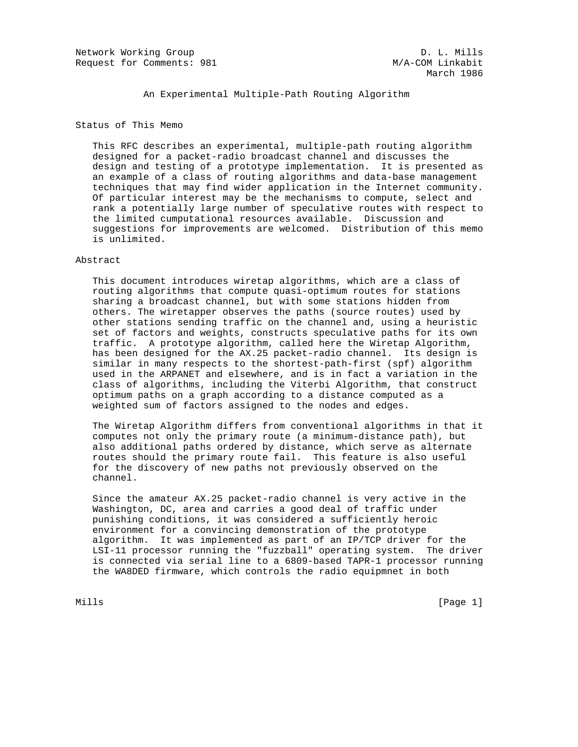Network Working Group D. L. Mills Request for Comments: 981 M/A-COM Linkabit

An Experimental Multiple-Path Routing Algorithm

Status of This Memo

 This RFC describes an experimental, multiple-path routing algorithm designed for a packet-radio broadcast channel and discusses the design and testing of a prototype implementation. It is presented as an example of a class of routing algorithms and data-base management techniques that may find wider application in the Internet community. Of particular interest may be the mechanisms to compute, select and rank a potentially large number of speculative routes with respect to the limited cumputational resources available. Discussion and suggestions for improvements are welcomed. Distribution of this memo is unlimited.

### Abstract

 This document introduces wiretap algorithms, which are a class of routing algorithms that compute quasi-optimum routes for stations sharing a broadcast channel, but with some stations hidden from others. The wiretapper observes the paths (source routes) used by other stations sending traffic on the channel and, using a heuristic set of factors and weights, constructs speculative paths for its own traffic. A prototype algorithm, called here the Wiretap Algorithm, has been designed for the AX.25 packet-radio channel. Its design is similar in many respects to the shortest-path-first (spf) algorithm used in the ARPANET and elsewhere, and is in fact a variation in the class of algorithms, including the Viterbi Algorithm, that construct optimum paths on a graph according to a distance computed as a weighted sum of factors assigned to the nodes and edges.

 The Wiretap Algorithm differs from conventional algorithms in that it computes not only the primary route (a minimum-distance path), but also additional paths ordered by distance, which serve as alternate routes should the primary route fail. This feature is also useful for the discovery of new paths not previously observed on the channel.

 Since the amateur AX.25 packet-radio channel is very active in the Washington, DC, area and carries a good deal of traffic under punishing conditions, it was considered a sufficiently heroic environment for a convincing demonstration of the prototype algorithm. It was implemented as part of an IP/TCP driver for the LSI-11 processor running the "fuzzball" operating system. The driver is connected via serial line to a 6809-based TAPR-1 processor running the WA8DED firmware, which controls the radio equipmnet in both

Mills [Page 1]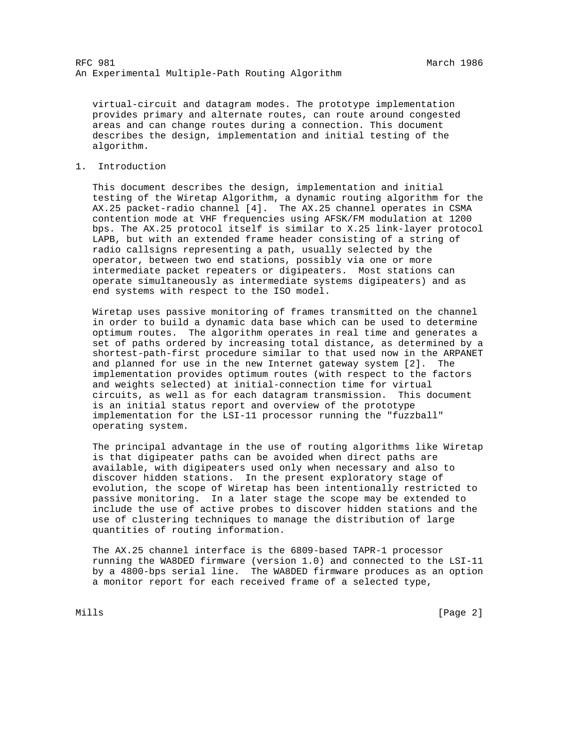virtual-circuit and datagram modes. The prototype implementation provides primary and alternate routes, can route around congested areas and can change routes during a connection. This document describes the design, implementation and initial testing of the algorithm.

### 1. Introduction

 This document describes the design, implementation and initial testing of the Wiretap Algorithm, a dynamic routing algorithm for the AX.25 packet-radio channel [4]. The AX.25 channel operates in CSMA contention mode at VHF frequencies using AFSK/FM modulation at 1200 bps. The AX.25 protocol itself is similar to X.25 link-layer protocol LAPB, but with an extended frame header consisting of a string of radio callsigns representing a path, usually selected by the operator, between two end stations, possibly via one or more intermediate packet repeaters or digipeaters. Most stations can operate simultaneously as intermediate systems digipeaters) and as end systems with respect to the ISO model.

 Wiretap uses passive monitoring of frames transmitted on the channel in order to build a dynamic data base which can be used to determine optimum routes. The algorithm operates in real time and generates a set of paths ordered by increasing total distance, as determined by a shortest-path-first procedure similar to that used now in the ARPANET and planned for use in the new Internet gateway system [2]. The implementation provides optimum routes (with respect to the factors and weights selected) at initial-connection time for virtual circuits, as well as for each datagram transmission. This document is an initial status report and overview of the prototype implementation for the LSI-11 processor running the "fuzzball" operating system.

 The principal advantage in the use of routing algorithms like Wiretap is that digipeater paths can be avoided when direct paths are available, with digipeaters used only when necessary and also to discover hidden stations. In the present exploratory stage of evolution, the scope of Wiretap has been intentionally restricted to passive monitoring. In a later stage the scope may be extended to include the use of active probes to discover hidden stations and the use of clustering techniques to manage the distribution of large quantities of routing information.

 The AX.25 channel interface is the 6809-based TAPR-1 processor running the WA8DED firmware (version 1.0) and connected to the LSI-11 by a 4800-bps serial line. The WA8DED firmware produces as an option a monitor report for each received frame of a selected type,

Mills **Example 2** and the contract of the contract of the contract of the contract of  $[$  Page 2  $]$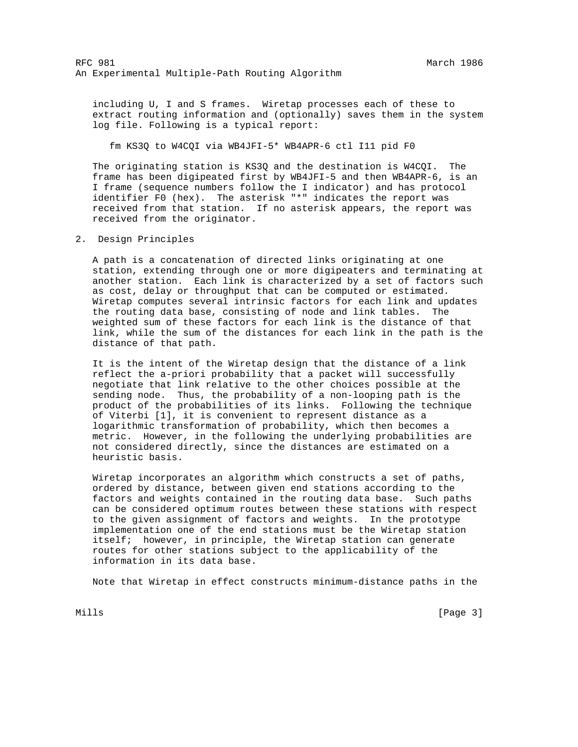including U, I and S frames. Wiretap processes each of these to extract routing information and (optionally) saves them in the system log file. Following is a typical report:

fm KS3Q to W4CQI via WB4JFI-5\* WB4APR-6 ctl I11 pid F0

 The originating station is KS3Q and the destination is W4CQI. The frame has been digipeated first by WB4JFI-5 and then WB4APR-6, is an I frame (sequence numbers follow the I indicator) and has protocol identifier F0 (hex). The asterisk "\*" indicates the report was received from that station. If no asterisk appears, the report was received from the originator.

2. Design Principles

 A path is a concatenation of directed links originating at one station, extending through one or more digipeaters and terminating at another station. Each link is characterized by a set of factors such as cost, delay or throughput that can be computed or estimated. Wiretap computes several intrinsic factors for each link and updates the routing data base, consisting of node and link tables. The weighted sum of these factors for each link is the distance of that link, while the sum of the distances for each link in the path is the distance of that path.

 It is the intent of the Wiretap design that the distance of a link reflect the a-priori probability that a packet will successfully negotiate that link relative to the other choices possible at the sending node. Thus, the probability of a non-looping path is the product of the probabilities of its links. Following the technique of Viterbi [1], it is convenient to represent distance as a logarithmic transformation of probability, which then becomes a metric. However, in the following the underlying probabilities are not considered directly, since the distances are estimated on a heuristic basis.

 Wiretap incorporates an algorithm which constructs a set of paths, ordered by distance, between given end stations according to the factors and weights contained in the routing data base. Such paths can be considered optimum routes between these stations with respect to the given assignment of factors and weights. In the prototype implementation one of the end stations must be the Wiretap station itself; however, in principle, the Wiretap station can generate routes for other stations subject to the applicability of the information in its data base.

Note that Wiretap in effect constructs minimum-distance paths in the

Mills **Example 20** (Page 3)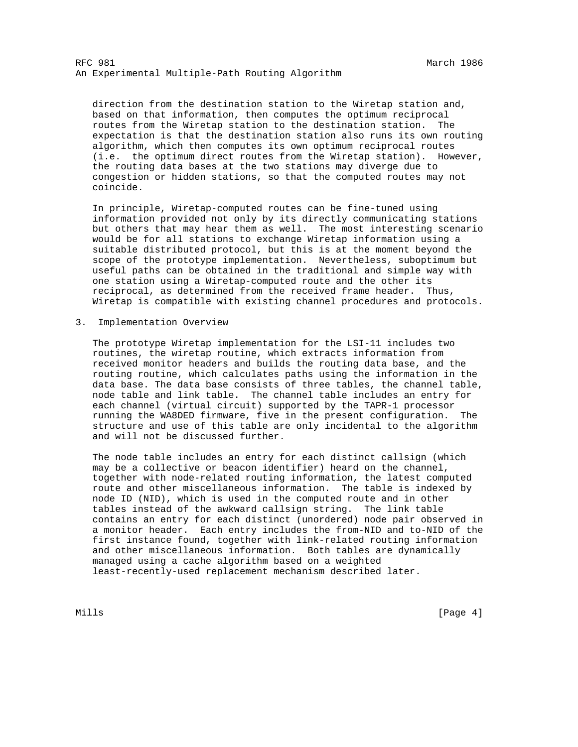direction from the destination station to the Wiretap station and, based on that information, then computes the optimum reciprocal routes from the Wiretap station to the destination station. The expectation is that the destination station also runs its own routing algorithm, which then computes its own optimum reciprocal routes (i.e. the optimum direct routes from the Wiretap station). However, the routing data bases at the two stations may diverge due to congestion or hidden stations, so that the computed routes may not coincide.

 In principle, Wiretap-computed routes can be fine-tuned using information provided not only by its directly communicating stations but others that may hear them as well. The most interesting scenario would be for all stations to exchange Wiretap information using a suitable distributed protocol, but this is at the moment beyond the scope of the prototype implementation. Nevertheless, suboptimum but useful paths can be obtained in the traditional and simple way with one station using a Wiretap-computed route and the other its reciprocal, as determined from the received frame header. Thus, Wiretap is compatible with existing channel procedures and protocols.

3. Implementation Overview

 The prototype Wiretap implementation for the LSI-11 includes two routines, the wiretap routine, which extracts information from received monitor headers and builds the routing data base, and the routing routine, which calculates paths using the information in the data base. The data base consists of three tables, the channel table, node table and link table. The channel table includes an entry for each channel (virtual circuit) supported by the TAPR-1 processor running the WA8DED firmware, five in the present configuration. The structure and use of this table are only incidental to the algorithm and will not be discussed further.

 The node table includes an entry for each distinct callsign (which may be a collective or beacon identifier) heard on the channel, together with node-related routing information, the latest computed route and other miscellaneous information. The table is indexed by node ID (NID), which is used in the computed route and in other tables instead of the awkward callsign string. The link table contains an entry for each distinct (unordered) node pair observed in a monitor header. Each entry includes the from-NID and to-NID of the first instance found, together with link-related routing information and other miscellaneous information. Both tables are dynamically managed using a cache algorithm based on a weighted least-recently-used replacement mechanism described later.

Mills [Page 4] [Page 4] [Page 4] [Page 4] [Page 4] [Page 4] [Page 4] [Page 4] [Page 4] [Page 4] [Page 4] [Page 4] [Page 4] [Page 4] [Page 4] [Page 4] [Page 4] [Page 4] [Page 4] [Page 4] [Page 4] [Page 4] [Page 4] [Page 4]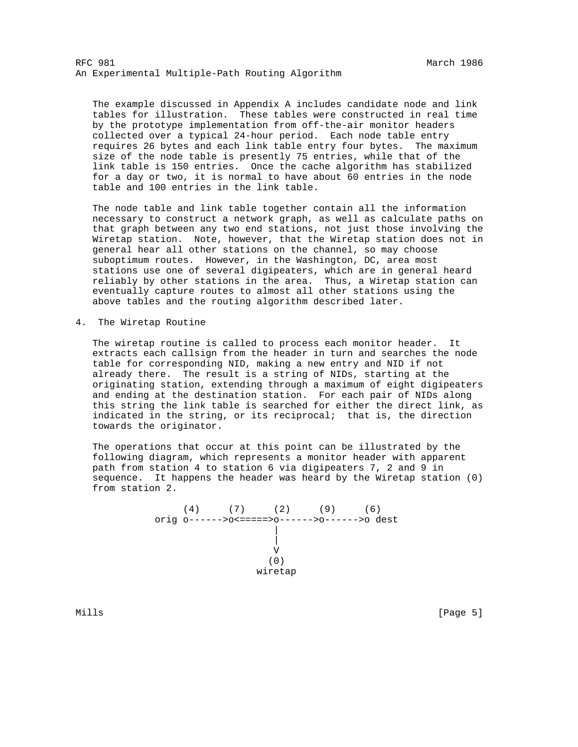The example discussed in Appendix A includes candidate node and link tables for illustration. These tables were constructed in real time by the prototype implementation from off-the-air monitor headers collected over a typical 24-hour period. Each node table entry requires 26 bytes and each link table entry four bytes. The maximum size of the node table is presently 75 entries, while that of the link table is 150 entries. Once the cache algorithm has stabilized for a day or two, it is normal to have about 60 entries in the node table and 100 entries in the link table.

 The node table and link table together contain all the information necessary to construct a network graph, as well as calculate paths on that graph between any two end stations, not just those involving the Wiretap station. Note, however, that the Wiretap station does not in general hear all other stations on the channel, so may choose suboptimum routes. However, in the Washington, DC, area most stations use one of several digipeaters, which are in general heard reliably by other stations in the area. Thus, a Wiretap station can eventually capture routes to almost all other stations using the above tables and the routing algorithm described later.

4. The Wiretap Routine

 The wiretap routine is called to process each monitor header. It extracts each callsign from the header in turn and searches the node table for corresponding NID, making a new entry and NID if not already there. The result is a string of NIDs, starting at the originating station, extending through a maximum of eight digipeaters and ending at the destination station. For each pair of NIDs along this string the link table is searched for either the direct link, as indicated in the string, or its reciprocal; that is, the direction towards the originator.

 The operations that occur at this point can be illustrated by the following diagram, which represents a monitor header with apparent path from station 4 to station 6 via digipeaters 7, 2 and 9 in sequence. It happens the header was heard by the Wiretap station (0) from station 2.

 (4) (7) (2) (9) (6) orig o------>o<=====>o------>o------>o dest | | V (0) wiretap

Mills [Page 5]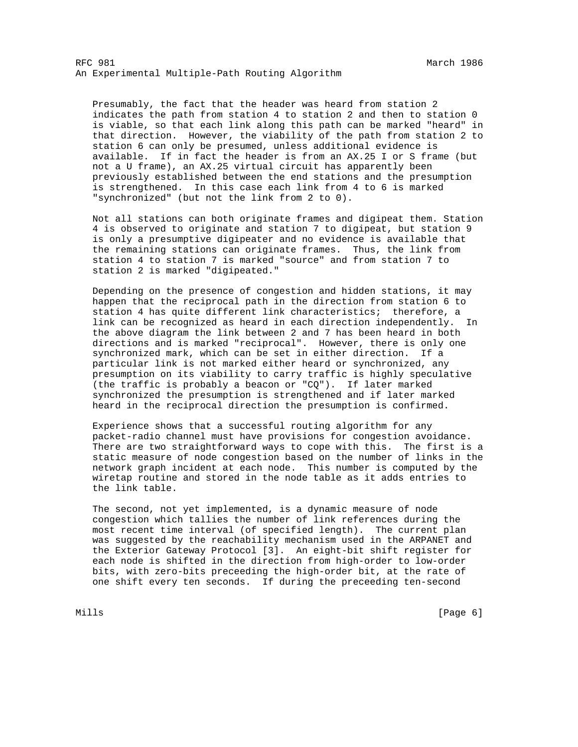Presumably, the fact that the header was heard from station 2 indicates the path from station 4 to station 2 and then to station 0 is viable, so that each link along this path can be marked "heard" in that direction. However, the viability of the path from station 2 to station 6 can only be presumed, unless additional evidence is available. If in fact the header is from an AX.25 I or S frame (but not a U frame), an AX.25 virtual circuit has apparently been previously established between the end stations and the presumption is strengthened. In this case each link from 4 to 6 is marked "synchronized" (but not the link from 2 to 0).

 Not all stations can both originate frames and digipeat them. Station 4 is observed to originate and station 7 to digipeat, but station 9 is only a presumptive digipeater and no evidence is available that the remaining stations can originate frames. Thus, the link from station 4 to station 7 is marked "source" and from station 7 to station 2 is marked "digipeated."

 Depending on the presence of congestion and hidden stations, it may happen that the reciprocal path in the direction from station 6 to station 4 has quite different link characteristics; therefore, a link can be recognized as heard in each direction independently. In the above diagram the link between 2 and 7 has been heard in both directions and is marked "reciprocal". However, there is only one synchronized mark, which can be set in either direction. If a particular link is not marked either heard or synchronized, any presumption on its viability to carry traffic is highly speculative (the traffic is probably a beacon or "CQ"). If later marked synchronized the presumption is strengthened and if later marked heard in the reciprocal direction the presumption is confirmed.

 Experience shows that a successful routing algorithm for any packet-radio channel must have provisions for congestion avoidance. There are two straightforward ways to cope with this. The first is a static measure of node congestion based on the number of links in the network graph incident at each node. This number is computed by the wiretap routine and stored in the node table as it adds entries to the link table.

 The second, not yet implemented, is a dynamic measure of node congestion which tallies the number of link references during the most recent time interval (of specified length). The current plan was suggested by the reachability mechanism used in the ARPANET and the Exterior Gateway Protocol [3]. An eight-bit shift register for each node is shifted in the direction from high-order to low-order bits, with zero-bits preceeding the high-order bit, at the rate of one shift every ten seconds. If during the preceeding ten-second

Mills **Example 2** (Page 6) **Mills**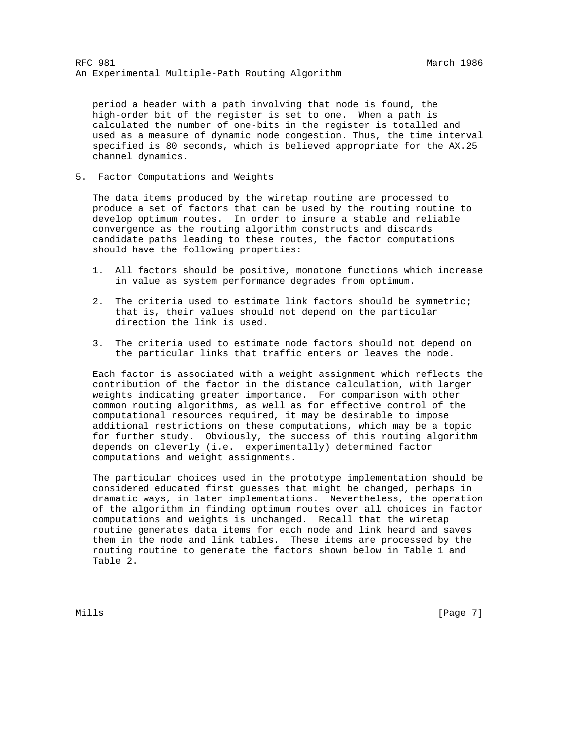period a header with a path involving that node is found, the high-order bit of the register is set to one. When a path is calculated the number of one-bits in the register is totalled and used as a measure of dynamic node congestion. Thus, the time interval specified is 80 seconds, which is believed appropriate for the AX.25 channel dynamics.

5. Factor Computations and Weights

 The data items produced by the wiretap routine are processed to produce a set of factors that can be used by the routing routine to develop optimum routes. In order to insure a stable and reliable convergence as the routing algorithm constructs and discards candidate paths leading to these routes, the factor computations should have the following properties:

- 1. All factors should be positive, monotone functions which increase in value as system performance degrades from optimum.
- 2. The criteria used to estimate link factors should be symmetric; that is, their values should not depend on the particular direction the link is used.
- 3. The criteria used to estimate node factors should not depend on the particular links that traffic enters or leaves the node.

 Each factor is associated with a weight assignment which reflects the contribution of the factor in the distance calculation, with larger weights indicating greater importance. For comparison with other common routing algorithms, as well as for effective control of the computational resources required, it may be desirable to impose additional restrictions on these computations, which may be a topic for further study. Obviously, the success of this routing algorithm depends on cleverly (i.e. experimentally) determined factor computations and weight assignments.

 The particular choices used in the prototype implementation should be considered educated first guesses that might be changed, perhaps in dramatic ways, in later implementations. Nevertheless, the operation of the algorithm in finding optimum routes over all choices in factor computations and weights is unchanged. Recall that the wiretap routine generates data items for each node and link heard and saves them in the node and link tables. These items are processed by the routing routine to generate the factors shown below in Table 1 and Table 2.

Mills [Page 7] [Page 7] [Page 7] [Page 7] [Page 7] [Page 7] [Page 7] [Page 7] [Page 7] [Page 7] [Page 7] [Page 7] [Page 7] [Page 7] [Page 7] [Page 7] [Page 7] [Page 7] [Page 7] [Page 7] [Page 7] [Page 7] [Page 7] [Page 7]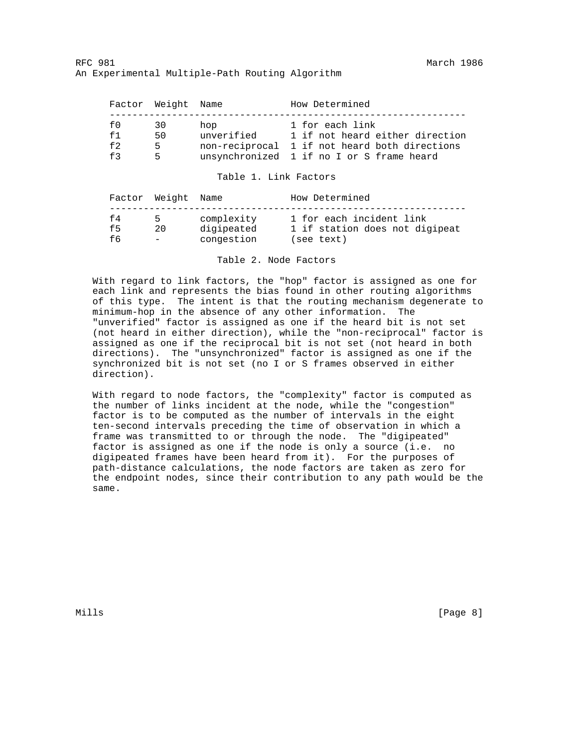|      | Factor Weight Name |            | How Determined                                |
|------|--------------------|------------|-----------------------------------------------|
| f0   | 30                 | hop        | 1 for each link                               |
| f1   | 50                 | unverified | 1 if not heard either direction               |
| f 2. | 5.                 |            | non-reciprocal 1 if not heard both directions |
| f3   | 5                  |            | unsynchronized 1 if no I or S frame heard     |

Table 1. Link Factors

|     | Factor Weight Name       |            | How Determined                 |
|-----|--------------------------|------------|--------------------------------|
| f4  | 5.                       | complexity | 1 for each incident link       |
| f5  | 20                       | digipeated | 1 if station does not digipeat |
| f 6 | $\overline{\phantom{a}}$ | congestion | (see text)                     |

Table 2. Node Factors

 With regard to link factors, the "hop" factor is assigned as one for each link and represents the bias found in other routing algorithms of this type. The intent is that the routing mechanism degenerate to minimum-hop in the absence of any other information. The "unverified" factor is assigned as one if the heard bit is not set (not heard in either direction), while the "non-reciprocal" factor is assigned as one if the reciprocal bit is not set (not heard in both directions). The "unsynchronized" factor is assigned as one if the synchronized bit is not set (no I or S frames observed in either direction).

 With regard to node factors, the "complexity" factor is computed as the number of links incident at the node, while the "congestion" factor is to be computed as the number of intervals in the eight ten-second intervals preceding the time of observation in which a frame was transmitted to or through the node. The "digipeated" factor is assigned as one if the node is only a source (i.e. no digipeated frames have been heard from it). For the purposes of path-distance calculations, the node factors are taken as zero for the endpoint nodes, since their contribution to any path would be the same.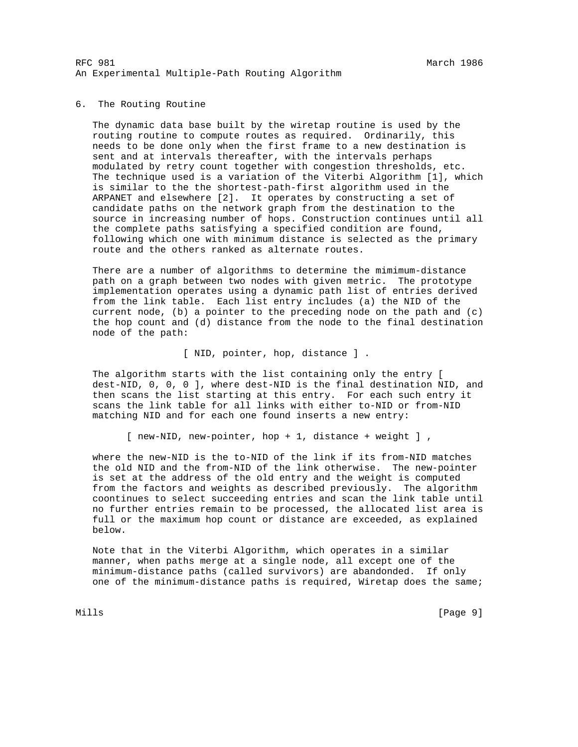## 6. The Routing Routine

 The dynamic data base built by the wiretap routine is used by the routing routine to compute routes as required. Ordinarily, this needs to be done only when the first frame to a new destination is sent and at intervals thereafter, with the intervals perhaps modulated by retry count together with congestion thresholds, etc. The technique used is a variation of the Viterbi Algorithm [1], which is similar to the the shortest-path-first algorithm used in the ARPANET and elsewhere [2]. It operates by constructing a set of candidate paths on the network graph from the destination to the source in increasing number of hops. Construction continues until all the complete paths satisfying a specified condition are found, following which one with minimum distance is selected as the primary route and the others ranked as alternate routes.

 There are a number of algorithms to determine the mimimum-distance path on a graph between two nodes with given metric. The prototype implementation operates using a dynamic path list of entries derived from the link table. Each list entry includes (a) the NID of the current node, (b) a pointer to the preceding node on the path and  $(c)$  the hop count and (d) distance from the node to the final destination node of the path:

### [ NID, pointer, hop, distance ] .

 The algorithm starts with the list containing only the entry [ dest-NID, 0, 0, 0 ], where dest-NID is the final destination NID, and then scans the list starting at this entry. For each such entry it scans the link table for all links with either to-NID or from-NID matching NID and for each one found inserts a new entry:

[ new-NID, new-pointer, hop + 1, distance + weight ] ,

 where the new-NID is the to-NID of the link if its from-NID matches the old NID and the from-NID of the link otherwise. The new-pointer is set at the address of the old entry and the weight is computed from the factors and weights as described previously. The algorithm coontinues to select succeeding entries and scan the link table until no further entries remain to be processed, the allocated list area is full or the maximum hop count or distance are exceeded, as explained below.

 Note that in the Viterbi Algorithm, which operates in a similar manner, when paths merge at a single node, all except one of the minimum-distance paths (called survivors) are abandonded. If only one of the minimum-distance paths is required, Wiretap does the same;

Mills [Page 9]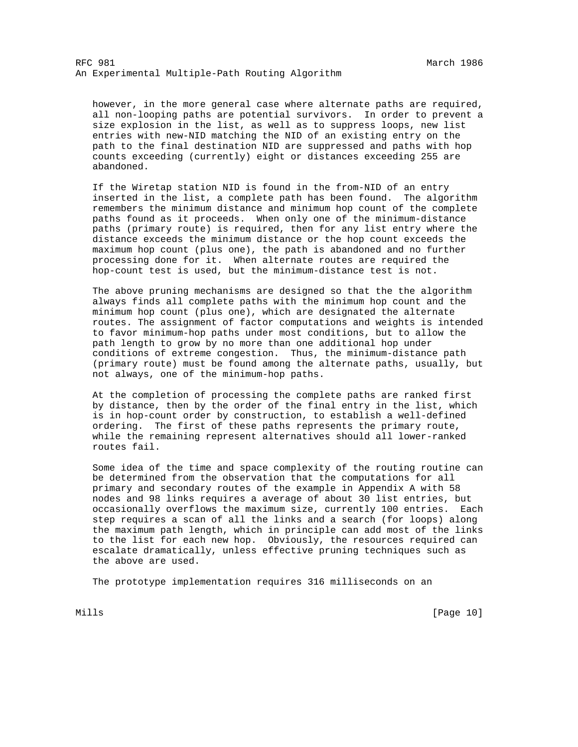however, in the more general case where alternate paths are required, all non-looping paths are potential survivors. In order to prevent a size explosion in the list, as well as to suppress loops, new list entries with new-NID matching the NID of an existing entry on the path to the final destination NID are suppressed and paths with hop counts exceeding (currently) eight or distances exceeding 255 are abandoned.

 If the Wiretap station NID is found in the from-NID of an entry inserted in the list, a complete path has been found. The algorithm remembers the minimum distance and minimum hop count of the complete paths found as it proceeds. When only one of the minimum-distance paths (primary route) is required, then for any list entry where the distance exceeds the minimum distance or the hop count exceeds the maximum hop count (plus one), the path is abandoned and no further processing done for it. When alternate routes are required the hop-count test is used, but the minimum-distance test is not.

 The above pruning mechanisms are designed so that the the algorithm always finds all complete paths with the minimum hop count and the minimum hop count (plus one), which are designated the alternate routes. The assignment of factor computations and weights is intended to favor minimum-hop paths under most conditions, but to allow the path length to grow by no more than one additional hop under conditions of extreme congestion. Thus, the minimum-distance path (primary route) must be found among the alternate paths, usually, but not always, one of the minimum-hop paths.

 At the completion of processing the complete paths are ranked first by distance, then by the order of the final entry in the list, which is in hop-count order by construction, to establish a well-defined ordering. The first of these paths represents the primary route, while the remaining represent alternatives should all lower-ranked routes fail.

 Some idea of the time and space complexity of the routing routine can be determined from the observation that the computations for all primary and secondary routes of the example in Appendix A with 58 nodes and 98 links requires a average of about 30 list entries, but occasionally overflows the maximum size, currently 100 entries. Each step requires a scan of all the links and a search (for loops) along the maximum path length, which in principle can add most of the links to the list for each new hop. Obviously, the resources required can escalate dramatically, unless effective pruning techniques such as the above are used.

The prototype implementation requires 316 milliseconds on an

Mills [Page 10]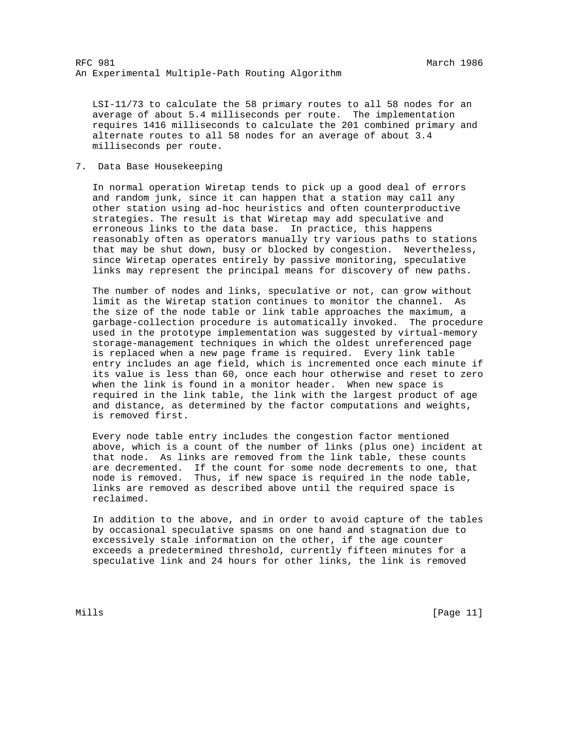LSI-11/73 to calculate the 58 primary routes to all 58 nodes for an average of about 5.4 milliseconds per route. The implementation requires 1416 milliseconds to calculate the 201 combined primary and alternate routes to all 58 nodes for an average of about 3.4 milliseconds per route.

# 7. Data Base Housekeeping

 In normal operation Wiretap tends to pick up a good deal of errors and random junk, since it can happen that a station may call any other station using ad-hoc heuristics and often counterproductive strategies. The result is that Wiretap may add speculative and erroneous links to the data base. In practice, this happens reasonably often as operators manually try various paths to stations that may be shut down, busy or blocked by congestion. Nevertheless, since Wiretap operates entirely by passive monitoring, speculative links may represent the principal means for discovery of new paths.

 The number of nodes and links, speculative or not, can grow without limit as the Wiretap station continues to monitor the channel. As the size of the node table or link table approaches the maximum, a garbage-collection procedure is automatically invoked. The procedure used in the prototype implementation was suggested by virtual-memory storage-management techniques in which the oldest unreferenced page is replaced when a new page frame is required. Every link table entry includes an age field, which is incremented once each minute if its value is less than 60, once each hour otherwise and reset to zero when the link is found in a monitor header. When new space is required in the link table, the link with the largest product of age and distance, as determined by the factor computations and weights, is removed first.

 Every node table entry includes the congestion factor mentioned above, which is a count of the number of links (plus one) incident at that node. As links are removed from the link table, these counts are decremented. If the count for some node decrements to one, that node is removed. Thus, if new space is required in the node table, links are removed as described above until the required space is reclaimed.

 In addition to the above, and in order to avoid capture of the tables by occasional speculative spasms on one hand and stagnation due to excessively stale information on the other, if the age counter exceeds a predetermined threshold, currently fifteen minutes for a speculative link and 24 hours for other links, the link is removed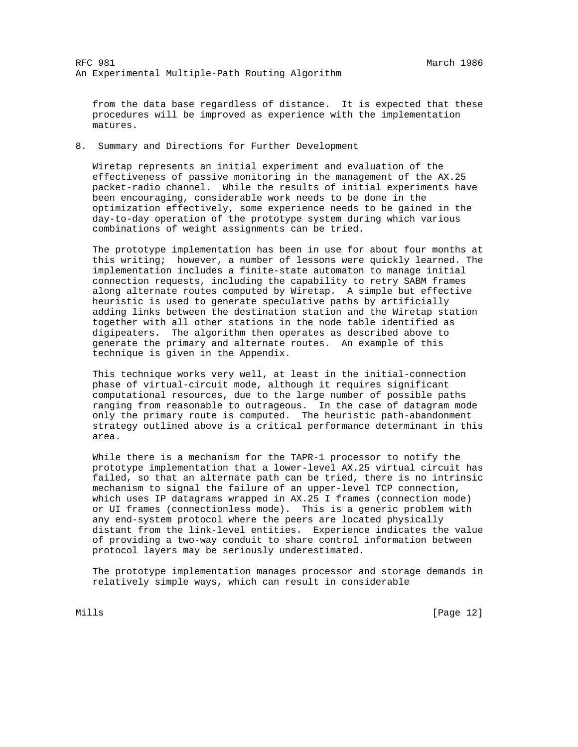from the data base regardless of distance. It is expected that these procedures will be improved as experience with the implementation matures.

8. Summary and Directions for Further Development

 Wiretap represents an initial experiment and evaluation of the effectiveness of passive monitoring in the management of the AX.25 packet-radio channel. While the results of initial experiments have been encouraging, considerable work needs to be done in the optimization effectively, some experience needs to be gained in the day-to-day operation of the prototype system during which various combinations of weight assignments can be tried.

 The prototype implementation has been in use for about four months at this writing; however, a number of lessons were quickly learned. The implementation includes a finite-state automaton to manage initial connection requests, including the capability to retry SABM frames along alternate routes computed by Wiretap. A simple but effective heuristic is used to generate speculative paths by artificially adding links between the destination station and the Wiretap station together with all other stations in the node table identified as digipeaters. The algorithm then operates as described above to generate the primary and alternate routes. An example of this technique is given in the Appendix.

 This technique works very well, at least in the initial-connection phase of virtual-circuit mode, although it requires significant computational resources, due to the large number of possible paths ranging from reasonable to outrageous. In the case of datagram mode only the primary route is computed. The heuristic path-abandonment strategy outlined above is a critical performance determinant in this area.

 While there is a mechanism for the TAPR-1 processor to notify the prototype implementation that a lower-level AX.25 virtual circuit has failed, so that an alternate path can be tried, there is no intrinsic mechanism to signal the failure of an upper-level TCP connection, which uses IP datagrams wrapped in AX.25 I frames (connection mode) or UI frames (connectionless mode). This is a generic problem with any end-system protocol where the peers are located physically distant from the link-level entities. Experience indicates the value of providing a two-way conduit to share control information between protocol layers may be seriously underestimated.

 The prototype implementation manages processor and storage demands in relatively simple ways, which can result in considerable

Mills [Page 12]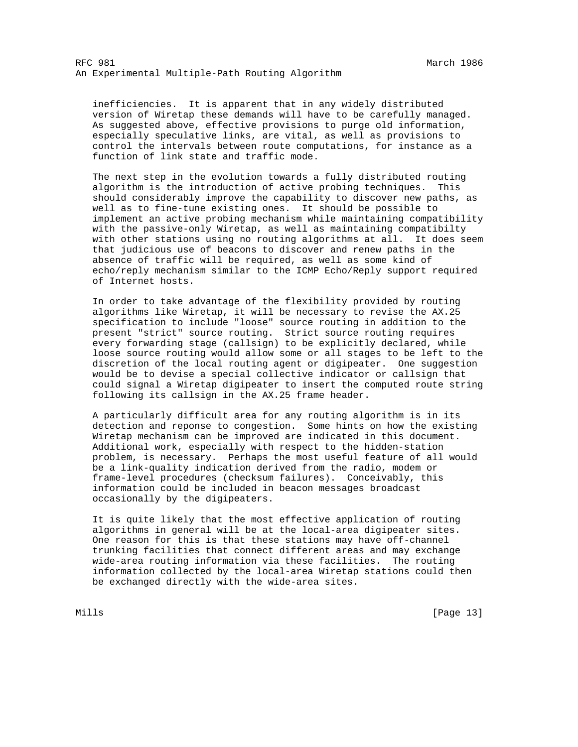inefficiencies. It is apparent that in any widely distributed version of Wiretap these demands will have to be carefully managed. As suggested above, effective provisions to purge old information, especially speculative links, are vital, as well as provisions to control the intervals between route computations, for instance as a function of link state and traffic mode.

 The next step in the evolution towards a fully distributed routing algorithm is the introduction of active probing techniques. This should considerably improve the capability to discover new paths, as well as to fine-tune existing ones. It should be possible to implement an active probing mechanism while maintaining compatibility with the passive-only Wiretap, as well as maintaining compatibilty with other stations using no routing algorithms at all. It does seem that judicious use of beacons to discover and renew paths in the absence of traffic will be required, as well as some kind of echo/reply mechanism similar to the ICMP Echo/Reply support required of Internet hosts.

 In order to take advantage of the flexibility provided by routing algorithms like Wiretap, it will be necessary to revise the AX.25 specification to include "loose" source routing in addition to the present "strict" source routing. Strict source routing requires every forwarding stage (callsign) to be explicitly declared, while loose source routing would allow some or all stages to be left to the discretion of the local routing agent or digipeater. One suggestion would be to devise a special collective indicator or callsign that could signal a Wiretap digipeater to insert the computed route string following its callsign in the AX.25 frame header.

 A particularly difficult area for any routing algorithm is in its detection and reponse to congestion. Some hints on how the existing Wiretap mechanism can be improved are indicated in this document. Additional work, especially with respect to the hidden-station problem, is necessary. Perhaps the most useful feature of all would be a link-quality indication derived from the radio, modem or frame-level procedures (checksum failures). Conceivably, this information could be included in beacon messages broadcast occasionally by the digipeaters.

 It is quite likely that the most effective application of routing algorithms in general will be at the local-area digipeater sites. One reason for this is that these stations may have off-channel trunking facilities that connect different areas and may exchange wide-area routing information via these facilities. The routing information collected by the local-area Wiretap stations could then be exchanged directly with the wide-area sites.

Mills [Page 13]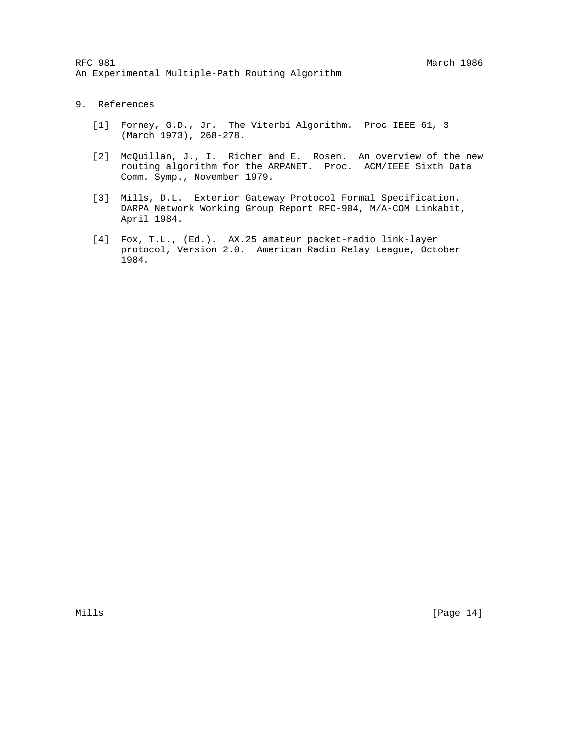- 9. References
	- [1] Forney, G.D., Jr. The Viterbi Algorithm. Proc IEEE 61, 3 (March 1973), 268-278.
	- [2] McQuillan, J., I. Richer and E. Rosen. An overview of the new routing algorithm for the ARPANET. Proc. ACM/IEEE Sixth Data Comm. Symp., November 1979.
	- [3] Mills, D.L. Exterior Gateway Protocol Formal Specification. DARPA Network Working Group Report RFC-904, M/A-COM Linkabit, April 1984.
	- [4] Fox, T.L., (Ed.). AX.25 amateur packet-radio link-layer protocol, Version 2.0. American Radio Relay League, October 1984.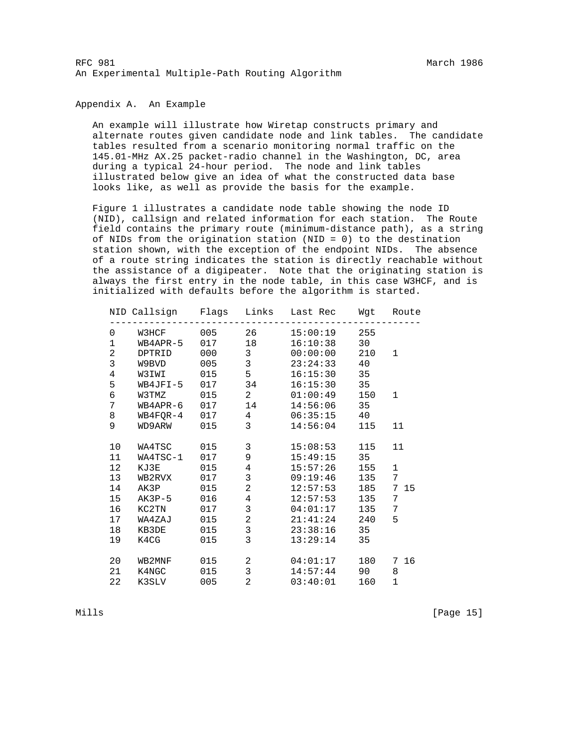### Appendix A. An Example

 An example will illustrate how Wiretap constructs primary and alternate routes given candidate node and link tables. The candidate tables resulted from a scenario monitoring normal traffic on the 145.01-MHz AX.25 packet-radio channel in the Washington, DC, area during a typical 24-hour period. The node and link tables illustrated below give an idea of what the constructed data base looks like, as well as provide the basis for the example.

 Figure 1 illustrates a candidate node table showing the node ID (NID), callsign and related information for each station. The Route field contains the primary route (minimum-distance path), as a string of NIDs from the origination station (NID = 0) to the destination station shown, with the exception of the endpoint NIDs. The absence of a route string indicates the station is directly reachable without the assistance of a digipeater. Note that the originating station is always the first entry in the node table, in this case W3HCF, and is initialized with defaults before the algorithm is started.

|                |                 |     |                 | NID Callsign  Flags Links Last-Rec  Wgt  Route |     |              |
|----------------|-----------------|-----|-----------------|------------------------------------------------|-----|--------------|
| 0              | W3HCF           | 005 | 26              | 15:00:19                                       | 255 |              |
| $\mathbf 1$    | WB4APR-5 017 18 |     |                 | 16:10:38                                       | 30  |              |
| $\overline{a}$ | DPTRID          | 000 | $\mathbf{3}$    | 00:00:00                                       | 210 | $\mathbf 1$  |
| 3              | W9BVD 005       |     | 3 <sup>7</sup>  | 23:24:33                                       | 40  |              |
| 4              | W3IWI 015       |     | 5               | 16:15:30                                       | 35  |              |
| 5              | WB4JFI-5 017    |     | 34              | 16:15:30                                       | 35  |              |
| б              | W3TMZ           | 015 | $2^{\circ}$     | 01:00:49                                       | 150 | 1            |
| 7              | WB4APR-6 017    |     | 14              | 14:56:06                                       | 35  |              |
| 8              | WB4FQR-4 017    |     | $4\overline{ }$ | $06:35:15$ 40                                  |     |              |
| 9              | WD9ARW 015      |     | 3 <sup>7</sup>  | 14:56:04                                       | 115 | 11           |
| 10             | WA4TSC 015      |     | $\mathbf{3}$    | 15:08:53                                       | 115 | 11           |
| 11             | WA4TSC-1 017    |     | 9               | 15:49:15                                       | 35  |              |
| 12             | KJ3E 015        |     | $\overline{4}$  | 15:57:26                                       | 155 | $\mathbf{1}$ |
| 13             | WB2RVX 017      |     | $\mathbf{3}$    | 09:19:46 135                                   |     | 7            |
| 14             | AK3P 015        |     | $\overline{a}$  | $12:57:53$ 185                                 |     | 7 15         |
| 15             | AK3P-5 016      |     | $\overline{4}$  | $12:57:53$ 135                                 |     | 7            |
| 16             | KC2TN 017       |     | $\mathbf{3}$    | 04:01:17                                       | 135 | 7            |
| 17             | WA4ZAJ 015      |     | $\overline{a}$  | 21:41:24                                       | 240 | 5            |
| 18             | KB3DE 015       |     | $\mathbf{3}$    | 23:38:16                                       | 35  |              |
| 19             | K4CG            | 015 | 3 <sup>7</sup>  | 13:29:14                                       | 35  |              |
| 20             | WB2MNF 015      |     | $\overline{a}$  | 04:01:17                                       | 180 | 7 16         |
| 21             | K4NGC           | 015 | $\mathbf{3}$    | 14:57:44                                       | 90  | 8            |
| 22             | K3SLV 005       |     | $\overline{a}$  | $03:40:01$ 160                                 |     | $\mathbf{1}$ |

Mills [Page 15]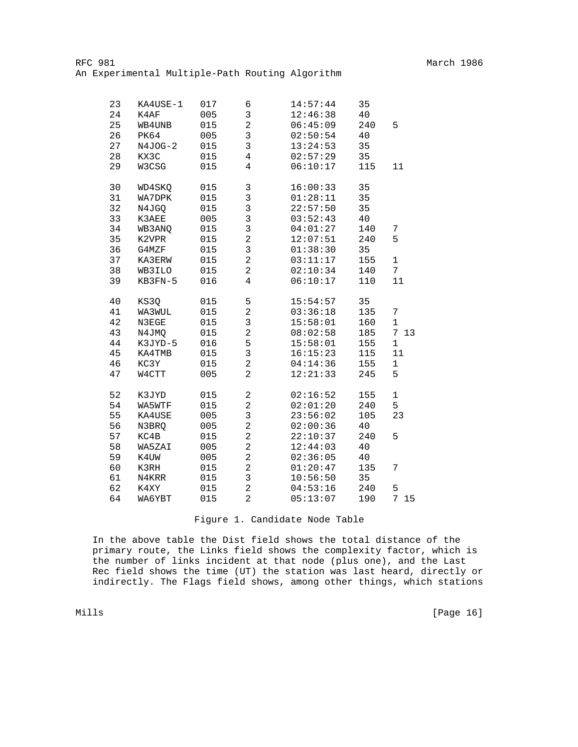| 23 | KA4USE-1  | 017 | 6                       | 14:57:44 | 35  |                      |
|----|-----------|-----|-------------------------|----------|-----|----------------------|
| 24 | K4AF      | 005 | 3                       | 12:46:38 | 40  |                      |
| 25 | WB4UNB    | 015 | $\sqrt{2}$              | 06:45:09 | 240 | 5                    |
| 26 | PK64      | 005 | 3                       | 02:50:54 | 40  |                      |
| 27 | $N4JOG-2$ | 015 | 3                       | 13:24:53 | 35  |                      |
| 28 | KX3C      | 015 | $\overline{4}$          | 02:57:29 | 35  |                      |
| 29 | W3CSG     | 015 | $\overline{4}$          | 06:10:17 | 115 | 11                   |
| 30 | WD4SKQ    | 015 | 3                       | 16:00:33 | 35  |                      |
| 31 | WA7DPK    | 015 | 3                       | 01:28:11 | 35  |                      |
| 32 | N4JGQ     | 015 | $\overline{3}$          | 22:57:50 | 35  |                      |
| 33 | K3AEE     | 005 | $\overline{3}$          | 03:52:43 | 40  |                      |
| 34 | WB3ANQ    | 015 | $\overline{3}$          | 04:01:27 | 140 | 7                    |
| 35 | K2VPR     | 015 | $\overline{a}$          | 12:07:51 | 240 | 5                    |
| 36 | G4MZF     | 015 | $\mathsf{3}$            | 01:38:30 | 35  |                      |
| 37 | KA3ERW    | 015 | $\overline{c}$          | 03:11:17 | 155 | $\mathbf 1$          |
| 38 | WB3ILO    | 015 | $\overline{c}$          | 02:10:34 | 140 | $7\overline{ }$      |
| 39 | KB3FN-5   | 016 | $\overline{4}$          | 06:10:17 | 110 | 11                   |
| 40 | KS3Q      | 015 | 5                       | 15:54:57 | 35  |                      |
| 41 | WA3WUL    | 015 | $\overline{c}$          | 03:36:18 | 135 | 7                    |
| 42 | N3EGE     | 015 | 3                       | 15:58:01 | 160 | $1\,$                |
| 43 | N4JMQ     | 015 | $\overline{a}$          | 08:02:58 | 185 | $7\phantom{.}$<br>13 |
| 44 | K3JYD-5   | 016 | 5                       | 15:58:01 | 155 | $\mathbf 1$          |
| 45 | KA4TMB    | 015 | $\overline{3}$          | 16:15:23 | 115 | 11                   |
| 46 | KC3Y      | 015 | $\overline{\mathbf{c}}$ | 04:14:36 | 155 | $\mathbf 1$          |
| 47 | W4CTT     | 005 | $\overline{2}$          | 12:21:33 | 245 | 5                    |
| 52 | K3JYD     | 015 | $\boldsymbol{2}$        | 02:16:52 | 155 | $\mathbf 1$          |
| 54 | WA5WTF    | 015 | $\overline{c}$          | 02:01:20 | 240 | 5                    |
| 55 | KA4USE    | 005 | 3                       | 23:56:02 | 105 | 23                   |
| 56 | N3BRQ     | 005 | $\overline{c}$          | 02:00:36 | 40  |                      |
| 57 | KC4B      | 015 | $\overline{2}$          | 22:10:37 | 240 | 5                    |
| 58 | WA5ZAI    | 005 | $\overline{2}$          | 12:44:03 | 40  |                      |
| 59 | K4UW      | 005 | $\overline{c}$          | 02:36:05 | 40  |                      |
| 60 | K3RH      | 015 | $\overline{2}$          | 01:20:47 | 135 | 7                    |
| 61 | N4KRR     | 015 | 3                       | 10:56:50 | 35  |                      |
| 62 | K4XY      | 015 | $\overline{2}$          | 04:53:16 | 240 | 5                    |
| 64 | WA6YBT    | 015 | $\overline{a}$          | 05:13:07 | 190 | 7<br>15              |

## Figure 1. Candidate Node Table

 In the above table the Dist field shows the total distance of the primary route, the Links field shows the complexity factor, which is the number of links incident at that node (plus one), and the Last Rec field shows the time (UT) the station was last heard, directly or indirectly. The Flags field shows, among other things, which stations

Mills [Page 16]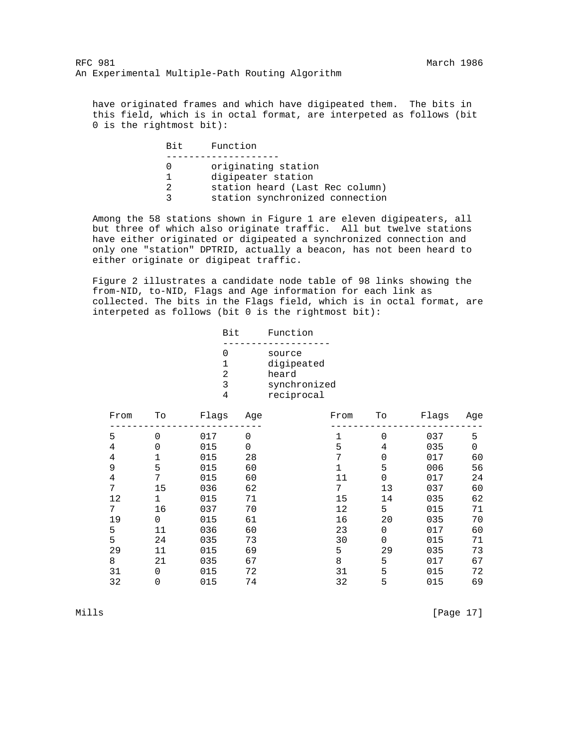have originated frames and which have digipeated them. The bits in this field, which is in octal format, are interpeted as follows (bit 0 is the rightmost bit):

| Bit. | Function                                                                                                        |
|------|-----------------------------------------------------------------------------------------------------------------|
| 2    | originating station<br>digipeater station<br>station heard (Last Rec column)<br>station synchronized connection |

 Among the 58 stations shown in Figure 1 are eleven digipeaters, all but three of which also originate traffic. All but twelve stations have either originated or digipeated a synchronized connection and only one "station" DPTRID, actually a beacon, has not been heard to either originate or digipeat traffic.

 Figure 2 illustrates a candidate node table of 98 links showing the from-NID, to-NID, Flags and Age information for each link as collected. The bits in the Flags field, which is in octal format, are interpeted as follows (bit 0 is the rightmost bit):

| Bit | Function     |
|-----|--------------|
|     | source       |
|     | digipeated   |
|     | heard        |
|     | synchronized |
|     | reciprocal   |

| From | To       | Flags | Age | From | Tо       | Flags | Aqe |
|------|----------|-------|-----|------|----------|-------|-----|
| 5    | 0        | 017   | 0   |      | $\Omega$ | 037   | 5   |
| 4    |          | 015   | 0   | 5    | 4        | 035   | 0   |
| 4    |          | 015   | 28  | 7    | 0        | 017   | 60  |
| 9    | 5        | 015   | 60  |      | 5        | 006   | 56  |
| 4    | 7        | 015   | 60  | 11   | $\Omega$ | 017   | 24  |
| 7    | 15       | 036   | 62  | 7    | 13       | 037   | 60  |
| 12   |          | 015   | 71  | 15   | 14       | 035   | 62  |
| 7    | 16       | 037   | 70  | 12   | 5        | 015   | 71  |
| 19   | $\Omega$ | 015   | 61  | 16   | 20       | 035   | 70  |
| 5    | 11       | 036   | 60  | 23   | 0        | 017   | 60  |
| 5    | 24       | 035   | 73  | 30   | $\Omega$ | 015   | 71  |
| 29   | 11       | 015   | 69  | 5    | 29       | 035   | 73  |
| 8    | 21       | 035   | 67  | 8    | 5        | 017   | 67  |
| 31   | 0        | 015   | 72  | 31   | 5        | 015   | 72  |
| 32   |          | 015   | 74  | 32   | 5        | 015   | 69  |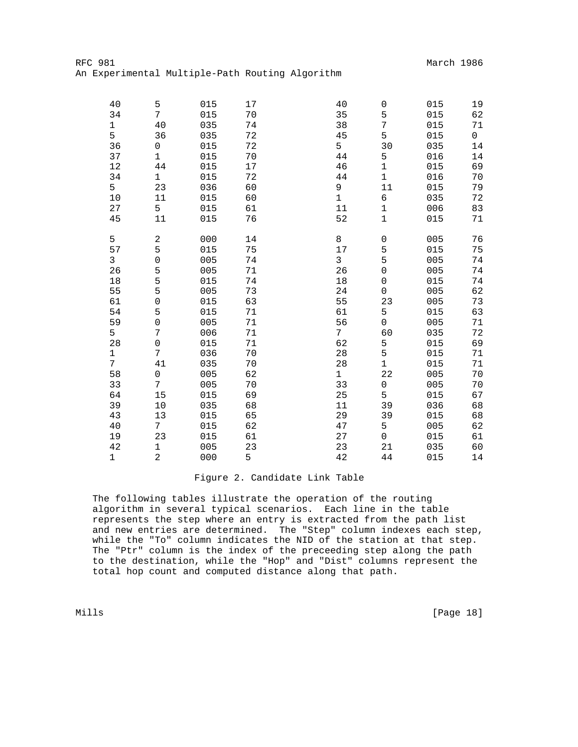| 40           | 5                   | 015 | 17 | 40             | 0                   | 015 | 19           |
|--------------|---------------------|-----|----|----------------|---------------------|-----|--------------|
| 34           | $7\overline{ }$     | 015 | 70 | 35             | 5                   | 015 | 62           |
| $\mathbf 1$  | 40                  | 035 | 74 | 38             | 7                   | 015 | 71           |
| 5            | 36                  | 035 | 72 | 45             | 5                   | 015 | $\mathsf{O}$ |
| 36           | 0                   | 015 | 72 | 5              | 30                  | 035 | 14           |
| 37           | $\mathbf 1$         | 015 | 70 | 44             | 5                   | 016 | 14           |
| 12           | 44                  | 015 | 17 | 46             | $\mathbf 1$         | 015 | 69           |
| 34           | $\mathbf 1$         | 015 | 72 | 44             | $1\,$               | 016 | 70           |
| 5            | 23                  | 036 | 60 | 9              | 11                  | 015 | 79           |
| $10$         | 11                  | 015 | 60 | $\mathbf 1$    | 6                   | 035 | 72           |
| 27           | 5                   | 015 | 61 | 11             | $\mathbf 1$         | 006 | 83           |
| 45           | 11                  | 015 | 76 | 52             | $\mathbf 1$         | 015 | 71           |
| 5            | 2                   | 000 | 14 | 8              | $\mathsf{O}\xspace$ | 005 | 76           |
| 57           | 5                   | 015 | 75 | 17             | 5                   | 015 | 75           |
| $\mathsf{3}$ | 0                   | 005 | 74 | $\mathbf{3}$   | 5                   | 005 | 74           |
| 26           | 5                   | 005 | 71 | 26             | $\mbox{O}$          | 005 | 74           |
| 18           | 5                   | 015 | 74 | 18             | $\mbox{O}$          | 015 | 74           |
| 55           | 5                   | 005 | 73 | 24             | $\mathsf{O}\xspace$ | 005 | 62           |
| 61           | $\mathsf{O}\xspace$ | 015 | 63 | 55             | 23                  | 005 | 73           |
| 54           | 5                   | 015 | 71 | 61             | 5                   | 015 | 63           |
| 59           | 0                   | 005 | 71 | 56             | $\mathsf{O}\xspace$ | 005 | 71           |
| 5            | 7                   | 006 | 71 | 7 <sup>1</sup> | 60                  | 035 | 72           |
| 28           | 0                   | 015 | 71 | 62             | 5                   | 015 | 69           |
| $\mathbf 1$  | 7                   | 036 | 70 | 28             | 5                   | 015 | 71           |
| 7            | 41                  | 035 | 70 | 28             | $\mathbf{1}$        | 015 | 71           |
| 58           | $\mathsf{O}\xspace$ | 005 | 62 | $\mathbf{1}$   | 22                  | 005 | 70           |
| 33           | 7                   | 005 | 70 | 33             | 0                   | 005 | 70           |
| 64           | 15                  | 015 | 69 | 25             | 5                   | 015 | 67           |
| 39           | 10                  | 035 | 68 | 11             | 39                  | 036 | 68           |
| 43           | 13                  | 015 | 65 | 29             | 39                  | 015 | 68           |
| 40           | $7\overline{ }$     | 015 | 62 | 47             | 5                   | 005 | 62           |
| 19           | 23                  | 015 | 61 | 27             | 0                   | 015 | 61           |
| 42           | $\mathbf 1$         | 005 | 23 | 23             | 21                  | 035 | 60           |
| $\mathbf 1$  | $\overline{2}$      | 000 | 5  | 42             | 44                  | 015 | $14$         |

# Figure 2. Candidate Link Table

 The following tables illustrate the operation of the routing algorithm in several typical scenarios. Each line in the table represents the step where an entry is extracted from the path list and new entries are determined. The "Step" column indexes each step, while the "To" column indicates the NID of the station at that step. The "Ptr" column is the index of the preceeding step along the path to the destination, while the "Hop" and "Dist" columns represent the total hop count and computed distance along that path.

Mills [Page 18]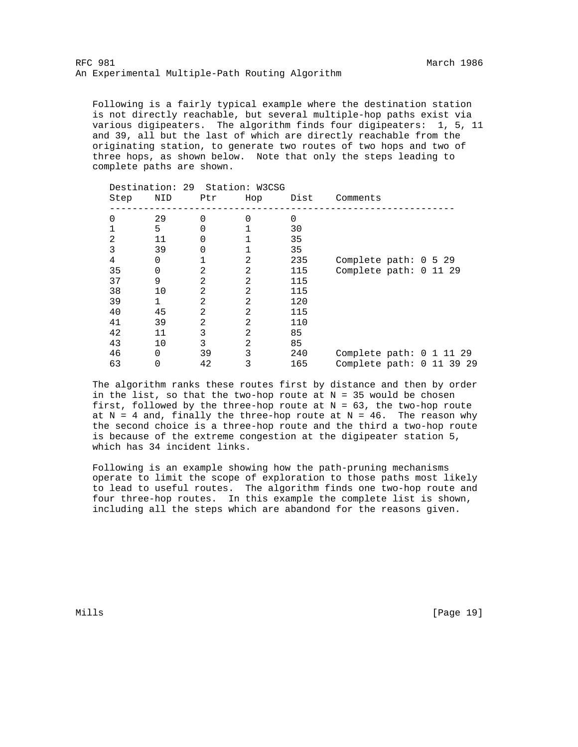Following is a fairly typical example where the destination station is not directly reachable, but several multiple-hop paths exist via various digipeaters. The algorithm finds four digipeaters: 1, 5, 11 and 39, all but the last of which are directly reachable from the originating station, to generate two routes of two hops and two of three hops, as shown below. Note that only the steps leading to complete paths are shown.

| Step | Destination: 29 Station: W3CSG<br>NID | Ptr            | Hop            | Dist     | Comments                    |  |
|------|---------------------------------------|----------------|----------------|----------|-----------------------------|--|
|      |                                       |                |                |          |                             |  |
| 0    | 29                                    | $\Omega$       | 0              | $\Omega$ |                             |  |
|      | 5                                     | 0              |                | 30       |                             |  |
| 2    | 11                                    | 0              |                | 35       |                             |  |
| 3    | 39                                    | 0              |                | 35       |                             |  |
| 4    | 0                                     |                | 2              | 235      | Complete path: $0 \t5 \t29$ |  |
| 35   | 0                                     | 2              | 2              | 115      | Complete path: 0 11 29      |  |
| 37   | 9                                     | 2              | 2              | 115      |                             |  |
| 38   | 10                                    | 2              | 2              | 115      |                             |  |
| 39   | 1                                     | 2              | 2              | 120      |                             |  |
| 40   | 45                                    | $\overline{2}$ | 2              | 115      |                             |  |
| 41   | 39                                    | $\overline{2}$ | 2              | 110      |                             |  |
| 42   | 11                                    | 3              | 2              | 85       |                             |  |
| 43   | 10                                    | 3              | $\overline{2}$ | 85       |                             |  |
| 46   | $\Omega$                              | 39             | 3              | 240      | Complete path: $0$ 1 11 29  |  |
| 63   | 0                                     | 42             | 3              | 165      | Complete path: 0 11 39 29   |  |

 The algorithm ranks these routes first by distance and then by order in the list, so that the two-hop route at  $N = 35$  would be chosen first, followed by the three-hop route at  $N = 63$ , the two-hop route at  $N = 4$  and, finally the three-hop route at  $N = 46$ . The reason why the second choice is a three-hop route and the third a two-hop route is because of the extreme congestion at the digipeater station 5, which has 34 incident links.

 Following is an example showing how the path-pruning mechanisms operate to limit the scope of exploration to those paths most likely to lead to useful routes. The algorithm finds one two-hop route and four three-hop routes. In this example the complete list is shown, including all the steps which are abandond for the reasons given.

Mills [Page 19]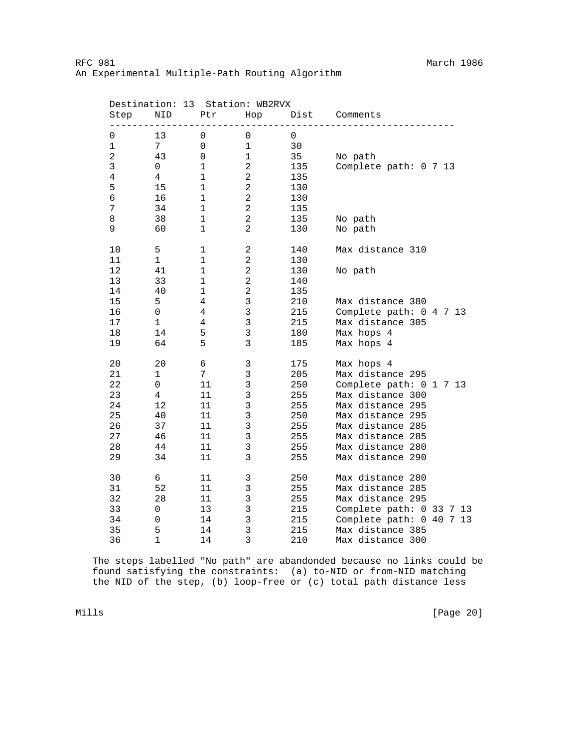| Step           | Destination: 13<br>NID | Ptr            | Station: WB2RVX<br>Hop | Dist        | Comments                 |
|----------------|------------------------|----------------|------------------------|-------------|--------------------------|
| 0              | 13                     | 0              | 0                      | $\mathsf 0$ |                          |
| $\mathbf 1$    | 7                      | $\mathsf 0$    | $\mathbf 1$            | 30          |                          |
| $\overline{a}$ | 43                     | $\mathsf 0$    | $\mathbf 1$            | 35          | No path                  |
| 3              | 0                      | $\mathbf 1$    | $\overline{c}$         | 135         | Complete path: 0 7 13    |
| $\,4$          | $\overline{4}$         | $\mathbf{1}$   | $\overline{a}$         | 135         |                          |
| 5              | 15                     | $\mathbf 1$    | $\overline{c}$         | 130         |                          |
| 6              | 16                     | $\mathbf 1$    | $\overline{a}$         | 130         |                          |
| 7              | 34                     | $\mathbf 1$    | $\overline{c}$         | 135         |                          |
| 8              | 38                     | $\mathbf 1$    | $\overline{a}$         | 135         | No path                  |
| 9              | 60                     | $\mathbf 1$    | $\overline{a}$         | 130         | No path                  |
| 10             | 5                      | 1              | 2                      | 140         | Max distance 310         |
| 11             | $\mathbf 1$            | $\mathbf 1$    | $\overline{c}$         | 130         |                          |
| 12             | 41                     | $\mathbf 1$    | $\overline{c}$         | 130         | No path                  |
| 13             | 33                     | $\mathbf{1}$   | $\overline{c}$         | 140         |                          |
| 14             | 40                     | $\mathbf 1$    | $\overline{c}$         | 135         |                          |
| 15             | 5                      | $\overline{4}$ | 3                      | 210         | Max distance 380         |
| 16             | 0                      | $\overline{4}$ | $\mathfrak{Z}$         | 215         | Complete path: 0 4 7 13  |
| 17             | $\mathbf 1$            | $\overline{4}$ | 3                      | 215         | Max distance 305         |
| 18             | 14                     | 5              | 3                      | 180         | Max hops 4               |
| 19             | 64                     | 5              | 3                      | 185         | Max hops 4               |
| 20             | 20                     | 6              | 3                      | 175         | Max hops 4               |
| 21             | $\mathbf 1$            | $\overline{7}$ | 3                      | 205         | Max distance 295         |
| 22             | 0                      | $11\,$         | $\mathfrak{Z}$         | 250         | Complete path: 0 1 7 13  |
| 23             | $\overline{4}$         | 11             | 3                      | 255         | Max distance 300         |
| 24             | 12                     | $11\,$         | 3                      | 255         | Max distance 295         |
| 25             | 40                     | 11             | 3                      | 250         | Max distance 295         |
| 26             | 37                     | 11             | $\mathsf{3}$           | 255         | Max distance 285         |
| 27             | 46                     | 11             | 3                      | 255         | Max distance 285         |
| 28             | 44                     | 11             | 3                      | 255         | Max distance 280         |
| 29             | 34                     | 11             | 3                      | 255         | Max distance 290         |
| 30             | 6                      | 11             | 3                      | 250         | Max distance 280         |
| 31             | 52                     | 11             | 3                      | 255         | Max distance 285         |
| 32             | 28                     | 11             | 3                      | 255         | Max distance 295         |
| 33             | 0                      | 13             | 3                      | 215         | Complete path: 0 33 7 13 |
| 34             | 0                      | 14             | $\mathsf 3$            | 215         | Complete path: 0 40 7 13 |
| 35             | 5                      | 14             | 3                      | 215         | Max distance 385         |
| 36             | $\mathbf{1}$           | 14             | $\overline{3}$         | 210         | Max distance 300         |

 The steps labelled "No path" are abandonded because no links could be found satisfying the constraints: (a) to-NID or from-NID matching the NID of the step, (b) loop-free or (c) total path distance less

Mills [Page 20]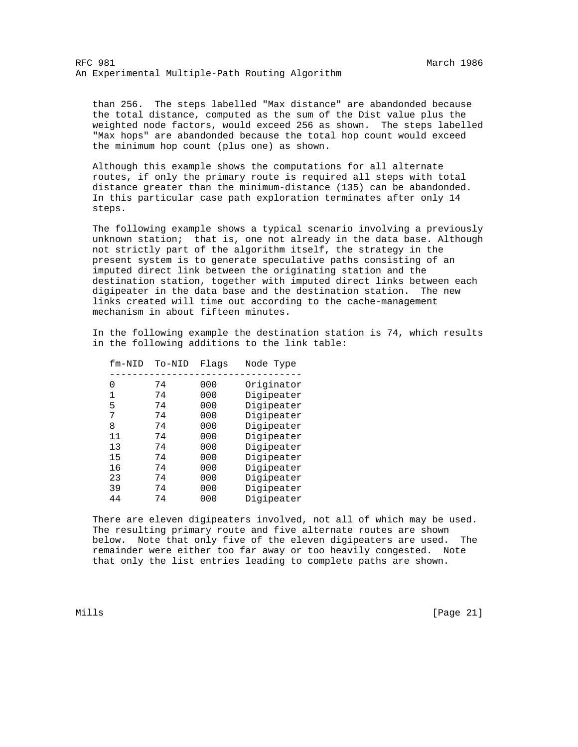than 256. The steps labelled "Max distance" are abandonded because the total distance, computed as the sum of the Dist value plus the weighted node factors, would exceed 256 as shown. The steps labelled "Max hops" are abandonded because the total hop count would exceed the minimum hop count (plus one) as shown.

 Although this example shows the computations for all alternate routes, if only the primary route is required all steps with total distance greater than the minimum-distance (135) can be abandonded. In this particular case path exploration terminates after only 14 steps.

 The following example shows a typical scenario involving a previously unknown station; that is, one not already in the data base. Although not strictly part of the algorithm itself, the strategy in the present system is to generate speculative paths consisting of an imputed direct link between the originating station and the destination station, together with imputed direct links between each digipeater in the data base and the destination station. The new links created will time out according to the cache-management mechanism in about fifteen minutes.

 In the following example the destination station is 74, which results in the following additions to the link table:

| $fm-NID$         | To-NID | Flags | Node Type  |
|------------------|--------|-------|------------|
| $\left( \right)$ | 74     | 000   | Originator |
| 1                | 74     | 000   | Digipeater |
| 5                | 74     | 000   | Digipeater |
| 7                | 74     | 000   | Digipeater |
| 8                | 74     | 000   | Digipeater |
| 11               | 74     | 000   | Digipeater |
| 13               | 74     | 000   | Digipeater |
| 15               | 74     | 000   | Digipeater |
| 16               | 74     | 000   | Digipeater |
| 23               | 74     | 000   | Digipeater |
| 39               | 74     | 000   | Digipeater |
| 44               | 74     | 000   | Digipeater |

 There are eleven digipeaters involved, not all of which may be used. The resulting primary route and five alternate routes are shown below. Note that only five of the eleven digipeaters are used. The remainder were either too far away or too heavily congested. Note that only the list entries leading to complete paths are shown.

Mills [Page 21]